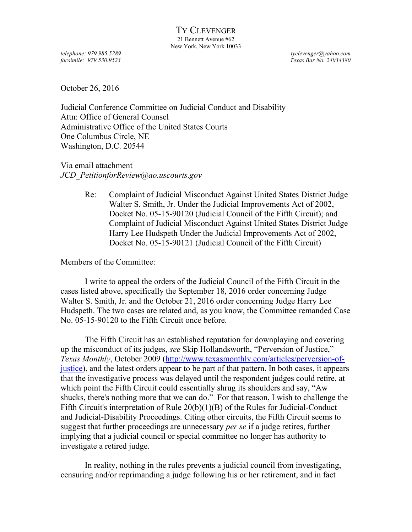*telephone: 979.985.5289 tyclevenger@yahoo.com facsimile: 979.530.9523 Texas Bar No. 24034380*

October 26, 2016

Judicial Conference Committee on Judicial Conduct and Disability Attn: Office of General Counsel Administrative Office of the United States Courts One Columbus Circle, NE Washington, D.C. 20544

Via email attachment *JCD\_PetitionforReview@ao.uscourts.gov*

> Re: Complaint of Judicial Misconduct Against United States District Judge Walter S. Smith, Jr. Under the Judicial Improvements Act of 2002, Docket No. 05-15-90120 (Judicial Council of the Fifth Circuit); and Complaint of Judicial Misconduct Against United States District Judge Harry Lee Hudspeth Under the Judicial Improvements Act of 2002, Docket No. 05-15-90121 (Judicial Council of the Fifth Circuit)

Members of the Committee:

I write to appeal the orders of the Judicial Council of the Fifth Circuit in the cases listed above, specifically the September 18, 2016 order concerning Judge Walter S. Smith, Jr. and the October 21, 2016 order concerning Judge Harry Lee Hudspeth. The two cases are related and, as you know, the Committee remanded Case No. 05-15-90120 to the Fifth Circuit once before.

The Fifth Circuit has an established reputation for downplaying and covering up the misconduct of its judges, *see* Skip Hollandsworth, "Perversion of Justice," *Texas Monthly*, October 2009 [\(http://www.texasmonthly.com/articles/perversion-of](http://www.texasmonthly.com/articles/perversion-of-justice)[justice\)](http://www.texasmonthly.com/articles/perversion-of-justice), and the latest orders appear to be part of that pattern. In both cases, it appears that the investigative process was delayed until the respondent judges could retire, at which point the Fifth Circuit could essentially shrug its shoulders and say, "Aw shucks, there's nothing more that we can do." For that reason, I wish to challenge the Fifth Circuit's interpretation of Rule 20(b)(1)(B) of the Rules for Judicial-Conduct and Judicial-Disability Proceedings. Citing other circuits, the Fifth Circuit seems to suggest that further proceedings are unnecessary *per se* if a judge retires, further implying that a judicial council or special committee no longer has authority to investigate a retired judge.

In reality, nothing in the rules prevents a judicial council from investigating, censuring and/or reprimanding a judge following his or her retirement, and in fact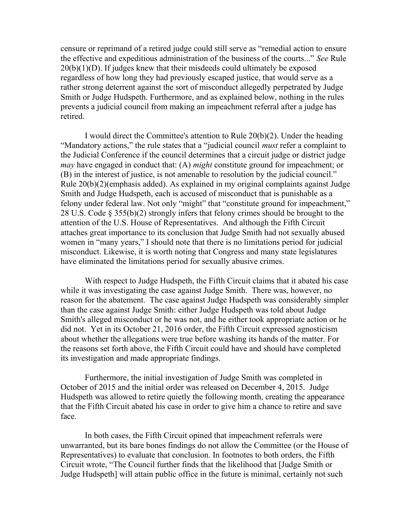censure or reprimand of a retired judge could still serve as "remedial action to ensure the effective and expeditious administration of the business of the courts..." *See* Rule  $20(b)(1)(D)$ . If judges knew that their misdeeds could ultimately be exposed regardless of how long they had previously escaped justice, that would serve as a rather strong deterrent against the sort of misconduct allegedly perpetrated by Judge Smith or Judge Hudspeth. Furthermore, and as explained below, nothing in the rules prevents a judicial council from making an impeachment referral after a judge has retired.

I would direct the Committee's attention to Rule 20(b)(2). Under the heading "Mandatory actions," the rule states that a "judicial council *must* refer a complaint to the Judicial Conference if the council determines that a circuit judge or district judge *may* have engaged in conduct that: (A) *might* constitute ground for impeachment; or (B) in the interest of justice, is not amenable to resolution by the judicial council." Rule 20(b)(2)(emphasis added). As explained in my original complaints against Judge Smith and Judge Hudspeth, each is accused of misconduct that is punishable as a felony under federal law. Not only "might" that "constitute ground for impeachment," 28 U.S. Code § 355(b)(2) strongly infers that felony crimes should be brought to the attention of the U.S. House of Representatives. And although the Fifth Circuit attaches great importance to its conclusion that Judge Smith had not sexually abused women in "many years," I should note that there is no limitations period for judicial misconduct. Likewise, it is worth noting that Congress and many state legislatures have eliminated the limitations period for sexually abusive crimes.

With respect to Judge Hudspeth, the Fifth Circuit claims that it abated his case while it was investigating the case against Judge Smith. There was, however, no reason for the abatement. The case against Judge Hudspeth was considerably simpler than the case against Judge Smith: either Judge Hudspeth was told about Judge Smith's alleged misconduct or he was not, and he either took appropriate action or he did not. Yet in its October 21, 2016 order, the Fifth Circuit expressed agnosticism about whether the allegations were true before washing its hands of the matter. For the reasons set forth above, the Fifth Circuit could have and should have completed its investigation and made appropriate findings.

Furthermore, the initial investigation of Judge Smith was completed in October of 2015 and the initial order was released on December 4, 2015. Judge Hudspeth was allowed to retire quietly the following month, creating the appearance that the Fifth Circuit abated his case in order to give him a chance to retire and save face.

In both cases, the Fifth Circuit opined that impeachment referrals were unwarranted, but its bare bones findings do not allow the Committee (or the House of Representatives) to evaluate that conclusion. In footnotes to both orders, the Fifth Circuit wrote, "The Council further finds that the likelihood that [Judge Smith or Judge Hudspeth] will attain public office in the future is minimal, certainly not such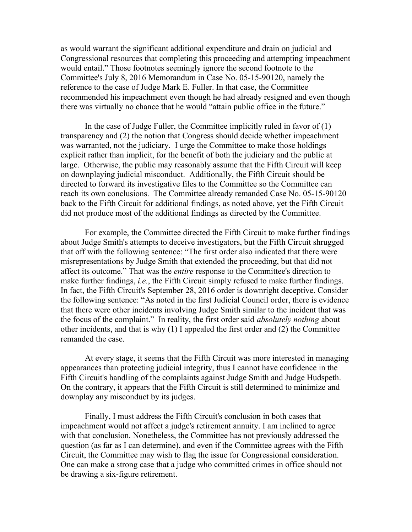as would warrant the significant additional expenditure and drain on judicial and Congressional resources that completing this proceeding and attempting impeachment would entail." Those footnotes seemingly ignore the second footnote to the Committee's July 8, 2016 Memorandum in Case No. 05-15-90120, namely the reference to the case of Judge Mark E. Fuller. In that case, the Committee recommended his impeachment even though he had already resigned and even though there was virtually no chance that he would "attain public office in the future."

In the case of Judge Fuller, the Committee implicitly ruled in favor of  $(1)$ transparency and (2) the notion that Congress should decide whether impeachment was warranted, not the judiciary. I urge the Committee to make those holdings explicit rather than implicit, for the benefit of both the judiciary and the public at large. Otherwise, the public may reasonably assume that the Fifth Circuit will keep on downplaying judicial misconduct. Additionally, the Fifth Circuit should be directed to forward its investigative files to the Committee so the Committee can reach its own conclusions. The Committee already remanded Case No. 05-15-90120 back to the Fifth Circuit for additional findings, as noted above, yet the Fifth Circuit did not produce most of the additional findings as directed by the Committee.

For example, the Committee directed the Fifth Circuit to make further findings about Judge Smith's attempts to deceive investigators, but the Fifth Circuit shrugged that off with the following sentence: "The first order also indicated that there were misrepresentations by Judge Smith that extended the proceeding, but that did not affect its outcome." That was the *entire* response to the Committee's direction to make further findings, *i.e.*, the Fifth Circuit simply refused to make further findings. In fact, the Fifth Circuit's September 28, 2016 order is downright deceptive. Consider the following sentence: "As noted in the first Judicial Council order, there is evidence that there were other incidents involving Judge Smith similar to the incident that was the focus of the complaint." In reality, the first order said *absolutely nothing* about other incidents, and that is why (1) I appealed the first order and (2) the Committee remanded the case.

At every stage, it seems that the Fifth Circuit was more interested in managing appearances than protecting judicial integrity, thus I cannot have confidence in the Fifth Circuit's handling of the complaints against Judge Smith and Judge Hudspeth. On the contrary, it appears that the Fifth Circuit is still determined to minimize and downplay any misconduct by its judges.

Finally, I must address the Fifth Circuit's conclusion in both cases that impeachment would not affect a judge's retirement annuity. I am inclined to agree with that conclusion. Nonetheless, the Committee has not previously addressed the question (as far as I can determine), and even if the Committee agrees with the Fifth Circuit, the Committee may wish to flag the issue for Congressional consideration. One can make a strong case that a judge who committed crimes in office should not be drawing a six-figure retirement.